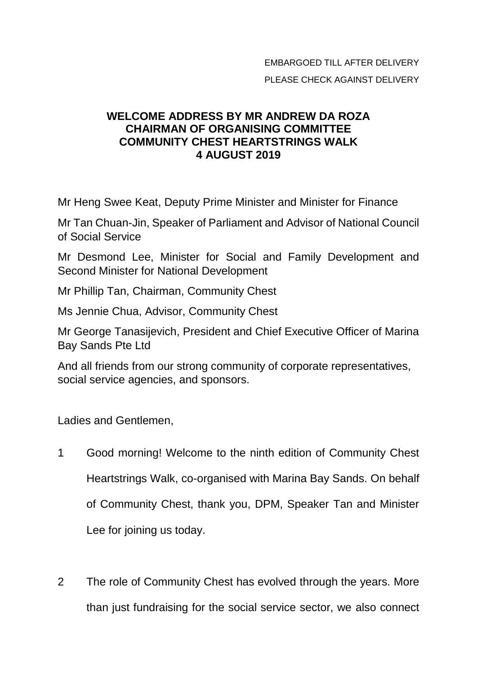## EMBARGOED TILL AFTER DELIVERY PLEASE CHECK AGAINST DELIVERY

## **WELCOME ADDRESS BY MR ANDREW DA ROZA CHAIRMAN OF ORGANISING COMMITTEE COMMUNITY CHEST HEARTSTRINGS WALK 4 AUGUST 2019**

Mr Heng Swee Keat, Deputy Prime Minister and Minister for Finance

Mr Tan Chuan-Jin, Speaker of Parliament and Advisor of National Council of Social Service

Mr Desmond Lee, Minister for Social and Family Development and Second Minister for National Development

Mr Phillip Tan, Chairman, Community Chest

Ms Jennie Chua, Advisor, Community Chest

Mr George Tanasijevich, President and Chief Executive Officer of Marina Bay Sands Pte Ltd

And all friends from our strong community of corporate representatives, social service agencies, and sponsors.

Ladies and Gentlemen,

- 1 Good morning! Welcome to the ninth edition of Community Chest Heartstrings Walk, co-organised with Marina Bay Sands. On behalf of Community Chest, thank you, DPM, Speaker Tan and Minister Lee for joining us today.
- 2 The role of Community Chest has evolved through the years. More than just fundraising for the social service sector, we also connect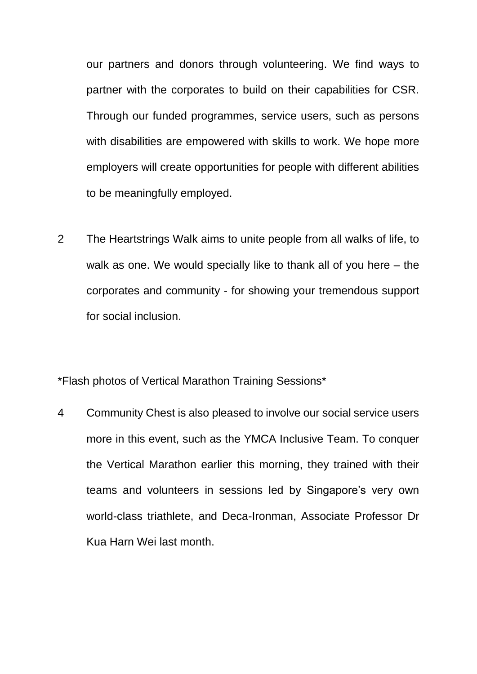our partners and donors through volunteering. We find ways to partner with the corporates to build on their capabilities for CSR. Through our funded programmes, service users, such as persons with disabilities are empowered with skills to work. We hope more employers will create opportunities for people with different abilities to be meaningfully employed.

2 The Heartstrings Walk aims to unite people from all walks of life, to walk as one. We would specially like to thank all of you here – the corporates and community - for showing your tremendous support for social inclusion.

\*Flash photos of Vertical Marathon Training Sessions\*

4 Community Chest is also pleased to involve our social service users more in this event, such as the YMCA Inclusive Team. To conquer the Vertical Marathon earlier this morning, they trained with their teams and volunteers in sessions led by Singapore's very own world-class triathlete, and Deca-Ironman, Associate Professor Dr Kua Harn Wei last month.